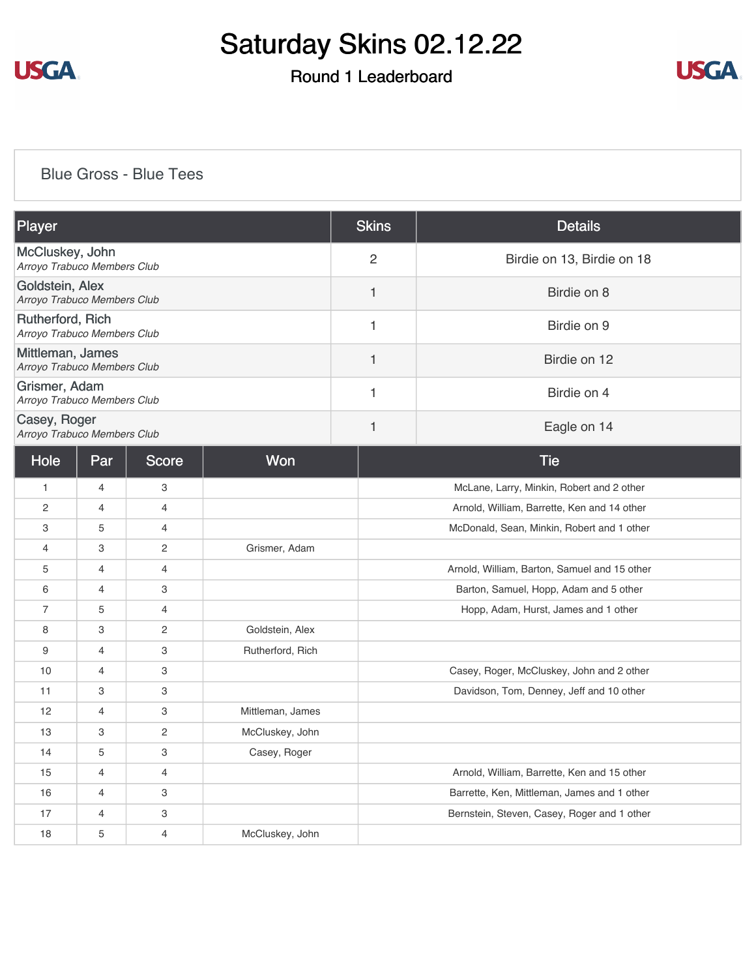

## Round 1 Leaderboard



### [Blue Gross - Blue Tees](https://cdn2.golfgenius.com/v2tournaments/8210765293782327746?called_from=&round_index=1)

| Player                                          |                |                           |                  | <b>Skins</b>   | <b>Details</b>                               |  |  |
|-------------------------------------------------|----------------|---------------------------|------------------|----------------|----------------------------------------------|--|--|
| McCluskey, John<br>Arroyo Trabuco Members Club  |                |                           |                  | $\overline{2}$ | Birdie on 13, Birdie on 18                   |  |  |
| Goldstein, Alex<br>Arroyo Trabuco Members Club  |                |                           |                  | 1              | Birdie on 8                                  |  |  |
| Rutherford, Rich<br>Arroyo Trabuco Members Club |                |                           |                  | $\mathbf{1}$   | Birdie on 9                                  |  |  |
| Mittleman, James<br>Arroyo Trabuco Members Club |                |                           |                  | 1              | Birdie on 12                                 |  |  |
| Grismer, Adam<br>Arroyo Trabuco Members Club    |                |                           |                  | $\mathbf{1}$   | Birdie on 4                                  |  |  |
| Casey, Roger<br>Arroyo Trabuco Members Club     |                |                           |                  | 1              | Eagle on 14                                  |  |  |
| Hole                                            | Par            | <b>Score</b>              | Won              |                | <b>Tie</b>                                   |  |  |
| $\mathbf{1}$                                    | $\overline{4}$ | 3                         |                  |                | McLane, Larry, Minkin, Robert and 2 other    |  |  |
| $\overline{2}$                                  | 4              | 4                         |                  |                | Arnold, William, Barrette, Ken and 14 other  |  |  |
| 3                                               | 5              | $\overline{4}$            |                  |                | McDonald, Sean, Minkin, Robert and 1 other   |  |  |
| $\overline{4}$                                  | 3              | $\overline{2}$            | Grismer, Adam    |                |                                              |  |  |
| 5                                               | $\overline{4}$ | $\overline{4}$            |                  |                | Arnold, William, Barton, Samuel and 15 other |  |  |
| 6                                               | $\overline{4}$ | 3                         |                  |                | Barton, Samuel, Hopp, Adam and 5 other       |  |  |
| $\overline{7}$                                  | 5              | $\overline{4}$            |                  |                | Hopp, Adam, Hurst, James and 1 other         |  |  |
| 8                                               | 3              | $\overline{c}$            | Goldstein, Alex  |                |                                              |  |  |
| 9                                               | 4              | $\ensuremath{\mathsf{3}}$ | Rutherford, Rich |                |                                              |  |  |
| 10                                              | $\overline{4}$ | 3                         |                  |                | Casey, Roger, McCluskey, John and 2 other    |  |  |
| 11                                              | 3              | 3                         |                  |                | Davidson, Tom, Denney, Jeff and 10 other     |  |  |
| 12                                              | $\overline{4}$ | 3                         | Mittleman, James |                |                                              |  |  |
| 13                                              | 3              | $\overline{2}$            | McCluskey, John  |                |                                              |  |  |
| 14                                              | 5              | 3                         | Casey, Roger     |                |                                              |  |  |
| 15                                              | 4              | $\overline{4}$            |                  |                | Arnold, William, Barrette, Ken and 15 other  |  |  |
| 16                                              | $\overline{4}$ | 3                         |                  |                | Barrette, Ken, Mittleman, James and 1 other  |  |  |
| 17                                              | 4              | 3                         |                  |                | Bernstein, Steven, Casey, Roger and 1 other  |  |  |
| 18                                              | 5              | $\overline{4}$            | McCluskey, John  |                |                                              |  |  |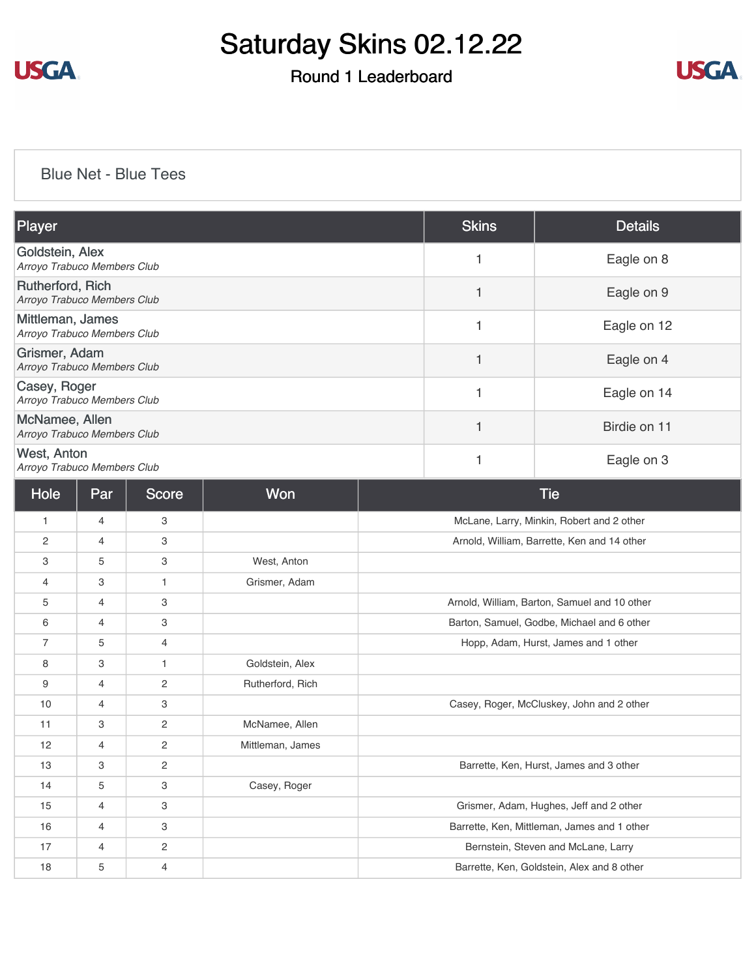

## Round 1 Leaderboard



#### [Blue Net - Blue Tees](https://cdn2.golfgenius.com/v2tournaments/8210767620245316037?called_from=&round_index=1)

| Player                                            |                |            |                  |                                              | <b>Skins</b> | <b>Details</b>                             |
|---------------------------------------------------|----------------|------------|------------------|----------------------------------------------|--------------|--------------------------------------------|
| Goldstein, Alex<br>Arroyo Trabuco Members Club    |                |            |                  | 1                                            | Eagle on 8   |                                            |
| Rutherford, Rich<br>Arroyo Trabuco Members Club   |                |            |                  |                                              | 1            | Eagle on 9                                 |
| Mittleman, James<br>Arroyo Trabuco Members Club   |                |            |                  |                                              | 1            | Eagle on 12                                |
| Grismer, Adam<br>Arroyo Trabuco Members Club      |                |            |                  |                                              | $\mathbf{1}$ | Eagle on 4                                 |
| Casey, Roger<br>Arroyo Trabuco Members Club       |                |            |                  |                                              | 1            | Eagle on 14                                |
| McNamee, Allen<br>Arroyo Trabuco Members Club     |                |            |                  |                                              | $\mathbf{1}$ | Birdie on 11                               |
| <b>West, Anton</b><br>Arroyo Trabuco Members Club |                |            |                  | 1                                            | Eagle on 3   |                                            |
| Hole                                              | Par            | Score      | Won              |                                              |              | <b>Tie</b>                                 |
| 1                                                 | 4              | 3          |                  |                                              |              | McLane, Larry, Minkin, Robert and 2 other  |
| 2                                                 | 4              | 3          |                  | Arnold, William, Barrette, Ken and 14 other  |              |                                            |
| 3                                                 | 5              | 3          | West, Anton      |                                              |              |                                            |
| 4                                                 | 3              | 1          | Grismer, Adam    |                                              |              |                                            |
| 5                                                 | 4              | 3          |                  | Arnold, William, Barton, Samuel and 10 other |              |                                            |
| 6                                                 | 4              | 3          |                  | Barton, Samuel, Godbe, Michael and 6 other   |              |                                            |
| 7                                                 | 5              | 4          |                  | Hopp, Adam, Hurst, James and 1 other         |              |                                            |
| 8                                                 | 3              | 1          | Goldstein, Alex  |                                              |              |                                            |
| 9                                                 | 4              | 2          | Rutherford, Rich |                                              |              |                                            |
| 10                                                | 4              | 3          |                  | Casey, Roger, McCluskey, John and 2 other    |              |                                            |
| 11                                                | 3              | 2          | McNamee, Allen   |                                              |              |                                            |
| 12                                                | 4              | 2          | Mittleman, James |                                              |              |                                            |
| 13                                                | 3              | 2          |                  |                                              |              | Barrette, Ken, Hurst, James and 3 other    |
| 14                                                | 5              | 3          | Casey, Roger     |                                              |              |                                            |
| 15                                                | $\overline{4}$ | 3          |                  |                                              |              | Grismer, Adam, Hughes, Jeff and 2 other    |
| 16                                                | 4              | 3          |                  | Barrette, Ken, Mittleman, James and 1 other  |              |                                            |
| 17                                                | 4              | $\sqrt{2}$ |                  | Bernstein, Steven and McLane, Larry          |              |                                            |
| 18                                                | 5              | 4          |                  |                                              |              | Barrette, Ken, Goldstein, Alex and 8 other |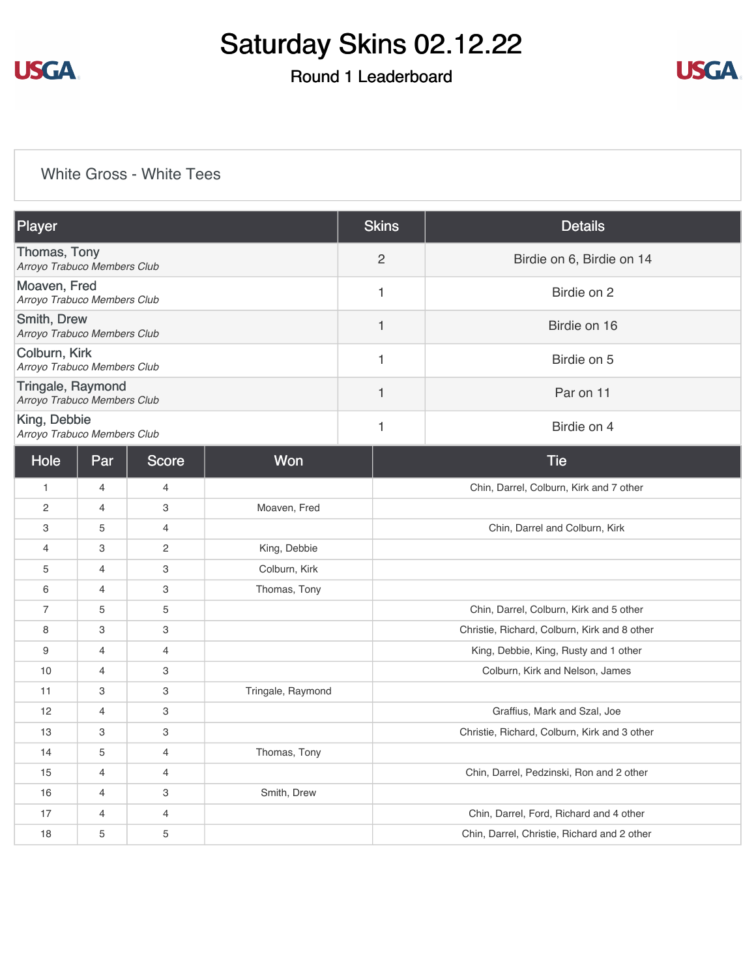

## Round 1 Leaderboard



### [White Gross - White Tees](https://cdn2.golfgenius.com/v2tournaments/8210767177897238980?called_from=&round_index=1)

| Player                                           | <b>Skins</b>   | <b>Details</b>            |
|--------------------------------------------------|----------------|---------------------------|
| Thomas, Tony<br>Arroyo Trabuco Members Club      | $\overline{2}$ | Birdie on 6, Birdie on 14 |
| Moaven, Fred<br>Arroyo Trabuco Members Club      |                | Birdie on 2               |
| Smith, Drew<br>Arroyo Trabuco Members Club       |                | Birdie on 16              |
| Colburn, Kirk<br>Arroyo Trabuco Members Club     |                | Birdie on 5               |
| Tringale, Raymond<br>Arroyo Trabuco Members Club |                | Par on 11                 |
| King, Debbie<br>Arroyo Trabuco Members Club      |                | Birdie on 4               |

| Hole           | Par            | <b>Score</b>   | Won               | <b>Tie</b>                                   |
|----------------|----------------|----------------|-------------------|----------------------------------------------|
| 1              | $\overline{4}$ | $\overline{4}$ |                   | Chin, Darrel, Colburn, Kirk and 7 other      |
| $\overline{2}$ | $\overline{4}$ | 3              | Moaven, Fred      |                                              |
| 3              | 5              | 4              |                   | Chin, Darrel and Colburn, Kirk               |
| 4              | 3              | 2              | King, Debbie      |                                              |
| 5              | 4              | 3              | Colburn, Kirk     |                                              |
| 6              | 4              | 3              | Thomas, Tony      |                                              |
| $\overline{7}$ | 5              | 5              |                   | Chin, Darrel, Colburn, Kirk and 5 other      |
| 8              | 3              | 3              |                   | Christie, Richard, Colburn, Kirk and 8 other |
| 9              | 4              | 4              |                   | King, Debbie, King, Rusty and 1 other        |
| 10             | 4              | 3              |                   | Colburn, Kirk and Nelson, James              |
| 11             | 3              | 3              | Tringale, Raymond |                                              |
| 12             | 4              | 3              |                   | Graffius, Mark and Szal, Joe                 |
| 13             | 3              | 3              |                   | Christie, Richard, Colburn, Kirk and 3 other |
| 14             | 5              | $\overline{4}$ | Thomas, Tony      |                                              |
| 15             | 4              | $\overline{4}$ |                   | Chin, Darrel, Pedzinski, Ron and 2 other     |
| 16             | $\overline{4}$ | 3              | Smith, Drew       |                                              |
| 17             | 4              | $\overline{4}$ |                   | Chin, Darrel, Ford, Richard and 4 other      |
| 18             | 5              | 5              |                   | Chin, Darrel, Christie, Richard and 2 other  |